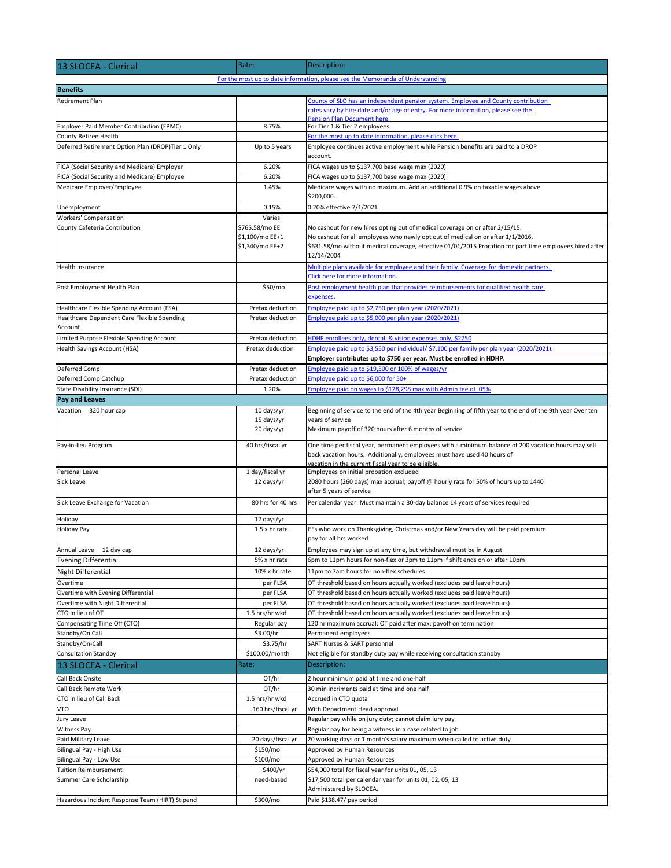| 13 SLOCEA - Clerical                                                   | Rate:                                                | Description:                                                                                                                                                                                                                                                                              |  |
|------------------------------------------------------------------------|------------------------------------------------------|-------------------------------------------------------------------------------------------------------------------------------------------------------------------------------------------------------------------------------------------------------------------------------------------|--|
|                                                                        |                                                      | For the most up to date information, please see the Memoranda of Understanding                                                                                                                                                                                                            |  |
| <b>Benefits</b>                                                        |                                                      |                                                                                                                                                                                                                                                                                           |  |
| <b>Retirement Plan</b>                                                 |                                                      | County of SLO has an independent pension system. Employee and County contribution                                                                                                                                                                                                         |  |
|                                                                        |                                                      | rates vary by hire date and/or age of entry. For more information, please see the                                                                                                                                                                                                         |  |
| Employer Paid Member Contribution (EPMC)                               | 8.75%                                                | <b>Pension Plan Document here.</b><br>For Tier 1 & Tier 2 employees                                                                                                                                                                                                                       |  |
| County Retiree Health                                                  |                                                      | For the most up to date information, please click here.                                                                                                                                                                                                                                   |  |
| Deferred Retirement Option Plan (DROP)Tier 1 Only                      | Up to 5 years                                        | Employee continues active employment while Pension benefits are paid to a DROP                                                                                                                                                                                                            |  |
|                                                                        |                                                      | account.                                                                                                                                                                                                                                                                                  |  |
| FICA (Social Security and Medicare) Employer                           | 6.20%                                                | FICA wages up to \$137,700 base wage max (2020)                                                                                                                                                                                                                                           |  |
| FICA (Social Security and Medicare) Employee                           | 6.20%                                                | FICA wages up to \$137,700 base wage max (2020)                                                                                                                                                                                                                                           |  |
| Medicare Employer/Employee                                             | 1.45%                                                | Medicare wages with no maximum. Add an additional 0.9% on taxable wages above<br>\$200,000.                                                                                                                                                                                               |  |
| Unemployment                                                           | 0.15%                                                | 0.20% effective 7/1/2021                                                                                                                                                                                                                                                                  |  |
| Workers' Compensation                                                  | Varies                                               |                                                                                                                                                                                                                                                                                           |  |
| County Cafeteria Contribution                                          | \$765.58/mo EE<br>\$1,100/mo EE+1<br>\$1,340/mo EE+2 | No cashout for new hires opting out of medical coverage on or after 2/15/15.<br>No cashout for all employees who newly opt out of medical on or after 1/1/2016.<br>\$631.58/mo without medical coverage, effective 01/01/2015 Proration for part time employees hired after<br>12/14/2004 |  |
| Health Insurance                                                       |                                                      | Multiple plans available for employee and their family. Coverage for domestic partners.<br>Click here for more information.                                                                                                                                                               |  |
| Post Employment Health Plan                                            | \$50/mo                                              | Post employment health plan that provides reimbursements for qualified health care<br>expenses.                                                                                                                                                                                           |  |
| Healthcare Flexible Spending Account (FSA)                             | Pretax deduction                                     | Employee paid up to \$2,750 per plan year (2020/2021)                                                                                                                                                                                                                                     |  |
| Healthcare Dependent Care Flexible Spending                            | Pretax deduction                                     | Employee paid up to \$5,000 per plan year (2020/2021)                                                                                                                                                                                                                                     |  |
| Account                                                                |                                                      |                                                                                                                                                                                                                                                                                           |  |
| Limited Purpose Flexible Spending Account                              | Pretax deduction                                     | HDHP enrollees only, dental & vision expenses only, \$2750                                                                                                                                                                                                                                |  |
| Health Savings Account (HSA)                                           | Pretax deduction                                     | Employee paid up to \$3,550 per individual/ \$7,100 per family per plan year (2020/2021).                                                                                                                                                                                                 |  |
| Deferred Comp                                                          | Pretax deduction                                     | Employer contributes up to \$750 per year. Must be enrolled in HDHP.<br>Employee paid up to \$19,500 or 100% of wages/yr                                                                                                                                                                  |  |
| Deferred Comp Catchup                                                  | Pretax deduction                                     | Employee paid up to \$6,000 for 50+                                                                                                                                                                                                                                                       |  |
| State Disability Insurance (SDI)                                       | 1.20%                                                | 05%. Employee paid on wages to \$128,298 max with Admin fee of                                                                                                                                                                                                                            |  |
| Pay and Leaves                                                         |                                                      |                                                                                                                                                                                                                                                                                           |  |
| Vacation 320 hour cap                                                  | 10 days/yr                                           | Beginning of service to the end of the 4th year Beginning of fifth year to the end of the 9th year Over ten                                                                                                                                                                               |  |
|                                                                        | 15 days/yr<br>20 days/yr                             | years of service<br>Maximum payoff of 320 hours after 6 months of service                                                                                                                                                                                                                 |  |
| Pay-in-lieu Program                                                    | 40 hrs/fiscal yr                                     | One time per fiscal year, permanent employees with a minimum balance of 200 vacation hours may sell<br>back vacation hours. Additionally, employees must have used 40 hours of<br>vacation in the current fiscal year to be eligible.                                                     |  |
| Personal Leave                                                         | 1 day/fiscal yr                                      | Employees on initial probation excluded                                                                                                                                                                                                                                                   |  |
| Sick Leave                                                             | 12 days/yr                                           | 2080 hours (260 days) max accrual; payoff @ hourly rate for 50% of hours up to 1440<br>after 5 years of service                                                                                                                                                                           |  |
| Sick Leave Exchange for Vacation                                       | 80 hrs for 40 hrs                                    | Per calendar year. Must maintain a 30-day balance 14 years of services required                                                                                                                                                                                                           |  |
| Holiday                                                                | 12 days/yr                                           |                                                                                                                                                                                                                                                                                           |  |
| <b>Holiday Pay</b>                                                     | $1.5 \times$ hr rate                                 | EEs who work on Thanksgiving, Christmas and/or New Years day will be paid premium<br>pay for all hrs worked                                                                                                                                                                               |  |
| Annual Leave 12 day cap                                                | 12 days/yr                                           | Employees may sign up at any time, but withdrawal must be in August                                                                                                                                                                                                                       |  |
| <b>Evening Differential</b>                                            | 5% x hr rate                                         | 6pm to 11pm hours for non-flex or 3pm to 11pm if shift ends on or after 10pm                                                                                                                                                                                                              |  |
| <b>Night Differential</b>                                              | 10% x hr rate                                        | 11pm to 7am hours for non-flex schedules                                                                                                                                                                                                                                                  |  |
| Overtime                                                               | per FLSA                                             | OT threshold based on hours actually worked (excludes paid leave hours)                                                                                                                                                                                                                   |  |
| Overtime with Evening Differential<br>Overtime with Night Differential | per FLSA<br>per FLSA                                 | OT threshold based on hours actually worked (excludes paid leave hours)<br>OT threshold based on hours actually worked (excludes paid leave hours)                                                                                                                                        |  |
| CTO in lieu of OT                                                      | 1.5 hrs/hr wkd                                       | OT threshold based on hours actually worked (excludes paid leave hours)                                                                                                                                                                                                                   |  |
| Compensating Time Off (CTO)                                            | Regular pay                                          | 120 hr maximum accrual; OT paid after max; payoff on termination                                                                                                                                                                                                                          |  |
| Standby/On Call                                                        | \$3.00/hr                                            | Permanent employees                                                                                                                                                                                                                                                                       |  |
| Standby/On-Call                                                        | \$3.75/hr                                            | SART Nurses & SART personnel                                                                                                                                                                                                                                                              |  |
| <b>Consultation Standby</b>                                            | \$100.00/month                                       | Not eligible for standby duty pay while receiving consultation standby                                                                                                                                                                                                                    |  |
| 13 SLOCEA - Clerical                                                   | Rate:                                                | Description:                                                                                                                                                                                                                                                                              |  |
| Call Back Onsite                                                       | OT/hr                                                | 2 hour minimum paid at time and one-half                                                                                                                                                                                                                                                  |  |
| Call Back Remote Work                                                  | OT/hr                                                | 30 min incriments paid at time and one half                                                                                                                                                                                                                                               |  |
| CTO in lieu of Call Back                                               | 1.5 hrs/hr wkd                                       | Accrued in CTO quota                                                                                                                                                                                                                                                                      |  |
| <b>VTO</b>                                                             | 160 hrs/fiscal yr                                    | With Department Head approval                                                                                                                                                                                                                                                             |  |
| Jury Leave                                                             |                                                      | Regular pay while on jury duty; cannot claim jury pay                                                                                                                                                                                                                                     |  |
| Witness Pay                                                            |                                                      | Regular pay for being a witness in a case related to job                                                                                                                                                                                                                                  |  |
| Paid Military Leave                                                    | 20 days/fiscal yr                                    | 20 working days or 1 month's salary maximum when called to active duty                                                                                                                                                                                                                    |  |
| Bilingual Pay - High Use                                               | \$150/mo<br>\$100/mo                                 | Approved by Human Resources                                                                                                                                                                                                                                                               |  |
| Bilingual Pay - Low Use<br><b>Tuition Reimbursement</b>                | \$400/yr                                             | Approved by Human Resources<br>\$54,000 total for fiscal year for units 01, 05, 13                                                                                                                                                                                                        |  |
| Summer Care Scholarship                                                | need-based                                           | \$17,500 total per calendar year for units 01, 02, 05, 13                                                                                                                                                                                                                                 |  |
| Hazardous Incident Response Team (HIRT) Stipend                        | \$300/mo                                             | Administered by SLOCEA.<br>Paid \$138.47/ pay period                                                                                                                                                                                                                                      |  |
|                                                                        |                                                      |                                                                                                                                                                                                                                                                                           |  |